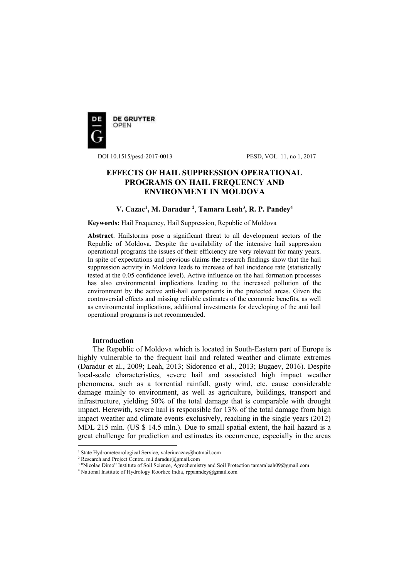

DOI 10.1515/pesd-2017-0013 PESD, VOL. 11, no 1, 2017

# **EFFECTS OF HAIL SUPPRESSION OPERATIONAL PROGRAMS ON HAIL FREQUENCY AND ENVIRONMENT IN MOLDOVA**

# **V. Cazac<sup>1</sup> , M. Daradur <sup>2</sup>** , **Tamara Leah<sup>3</sup> , R. P. Pandey<sup>4</sup>**

**Keywords:** Hail Frequency, Hail Suppression, Republic of Moldova

**Abstract**. Hailstorms pose a significant threat to all development sectors of the Republic of Moldova. Despite the availability of the intensive hail suppression operational programs the issues of their efficiency are very relevant for many years. In spite of expectations and previous claims the research findings show that the hail suppression activity in Moldova leads to increase of hail incidence rate (statistically tested at the 0.05 confidence level). Active influence on the hail formation processes has also environmental implications leading to the increased pollution of the environment by the active anti-hail components in the protected areas. Given the controversial effects and missing reliable estimates of the economic benefits, as well as environmental implications, additional investments for developing of the anti hail operational programs is not recommended.

## **Introduction**

 $\overline{a}$ 

The Republic of Moldova which is located in South-Eastern part of Europe is highly vulnerable to the frequent hail and related weather and climate extremes (Daradur et al., 2009; Leah, 2013; Sidorenco et al., 2013; Bugaev, 2016). Despite local-scale characteristics, severe hail and associated high impact weather phenomena, such as a torrential rainfall, gusty wind, etc. cause considerable damage mainly to environment, as well as agriculture, buildings, transport and infrastructure, yielding 50% of the total damage that is comparable with drought impact. Herewith, severe hail is responsible for 13% of the total damage from high impact weather and climate events exclusively, reaching in the single years (2012) MDL 215 mln. (US \$ 14.5 mln.). Due to small spatial extent, the hail hazard is a great challenge for prediction and estimates its occurrence, especially in the areas

<sup>&</sup>lt;sup>1</sup> State Hydrometeorological Service, valeriucazac@hotmail.com

<sup>2</sup> Research and Project Centre, m.i.daradur@gmail.com

<sup>3</sup> "Nicolae Dimo" Institute of Soil Science, Agrochemistry and Soil Protection tamaraleah09@gmail.com

<sup>4</sup> National Institute of Hydrology Roorkee India, rppanndey@gmail.com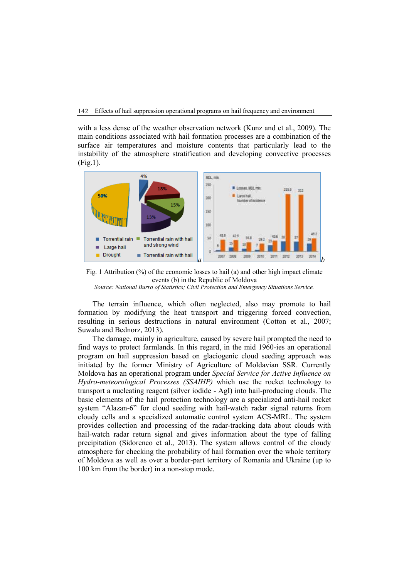with a less dense of the weather observation network (Kunz and et al., 2009). The main conditions associated with hail formation processes are a combination of the surface air temperatures and moisture contents that particularly lead to the instability of the atmosphere stratification and developing convective processes (Fig.1).



Fig. 1 Attribution (%) of the economic losses to hail (a) and other high impact climate events (b) in the Republic of Moldova

*Source: National Burro of Statistics; Civil Protection and Emergency Situations Service.*

The terrain influence, which often neglected, also may promote to hail formation by modifying the heat transport and triggering forced convection, resulting in serious destructions in natural environment (Cotton et al., 2007; Suwała and Bednorz, 2013).

The damage, mainly in agriculture, caused by severe hail prompted the need to find ways to protect farmlands. In this regard, in the mid 1960-ies an operational program on hail suppression based on glaciogenic cloud seeding approach was initiated by the former Ministry of Agriculture of Moldavian SSR. Currently Moldova has an operational program under *Special Service for Active Influence on Hydro-meteorological Processes (SSAIHP)* which use the rocket technology to transport a nucleating reagent (silver iodide - AgI) into hail-producing clouds. The basic elements of the hail protection technology are a specialized anti-hail rocket system "Alazan-6" for cloud seeding with hail-watch radar signal returns from cloudy cells and a specialized automatic control system ACS-MRL. The system provides collection and processing of the radar-tracking data about clouds with hail-watch radar return signal and gives information about the type of falling precipitation (Sidorenco et al., 2013). The system allows control of the cloudy atmosphere for checking the probability of hail formation over the whole territory of Moldova as well as over a border-part territory of Romania and Ukraine (up to 100 km from the border) in a non-stop mode.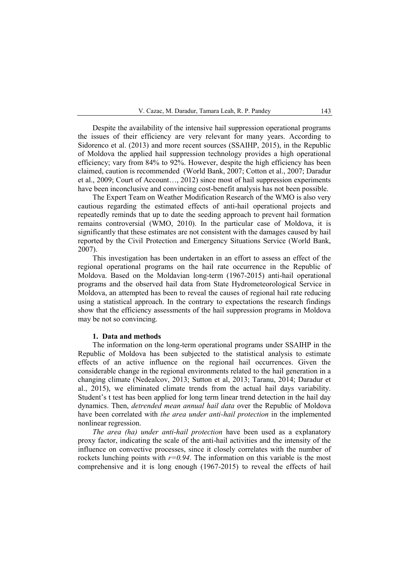Despite the availability of the intensive hail suppression operational programs the issues of their efficiency are very relevant for many years. According to Sidorenco et al. (2013) and more recent sources (SSAIHP, 2015), in the Republic of Moldova the applied hail suppression technology provides a high operational efficiency; vary from 84% to 92%. However, despite the high efficiency has been claimed, caution is recommended (World Bank, 2007; Cotton et al., 2007; Daradur et al., 2009; Court of Account…, 2012) since most of hail suppression experiments have been inconclusive and convincing cost-benefit analysis has not been possible.

The Expert Team on Weather Modification Research of the WMO is also very cautious regarding the estimated effects of anti-hail operational projects and repeatedly reminds that up to date the seeding approach to prevent hail formation remains controversial (WMO, 2010). In the particular case of Moldova, it is significantly that these estimates are not consistent with the damages caused by hail reported by the Civil Protection and Emergency Situations Service (World Bank, 2007).

This investigation has been undertaken in an effort to assess an effect of the regional operational programs on the hail rate occurrence in the Republic of Moldova. Based on the Moldavian long-term (1967-2015) anti-hail operational programs and the observed hail data from State Hydrometeorological Service in Moldova, an attempted has been to reveal the causes of regional hail rate reducing using a statistical approach. In the contrary to expectations the research findings show that the efficiency assessments of the hail suppression programs in Moldova may be not so convincing.

#### **1. Data and methods**

The information on the long-term operational programs under SSAIHP in the Republic of Moldova has been subjected to the statistical analysis to estimate effects of an active influence on the regional hail occurrences. Given the considerable change in the regional environments related to the hail generation in a changing climate (Nedealcov, 2013; Sutton et al, 2013; Taranu, 2014; Daradur et al., 2015), we eliminated climate trends from the actual hail days variability. Student's t test has been applied for long term linear trend detection in the hail day dynamics. Then, *detrended mean annual hail data* over the Republic of Moldova have been correlated with *the area under anti-hail protection* in the implemented nonlinear regression.

*The area (ha) under anti-hail protection* have been used as a explanatory proxy factor, indicating the scale of the anti-hail activities and the intensity of the influence on convective processes, since it closely correlates with the number of rockets lunching points with  $r=0.94$ . The information on this variable is the most comprehensive and it is long enough (1967-2015) to reveal the effects of hail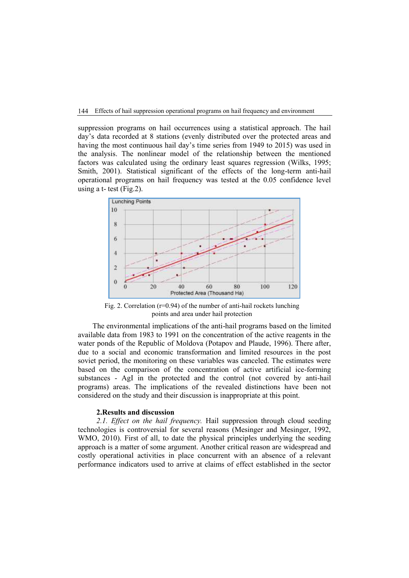#### 144 Effects of hail suppression operational programs on hail frequency and environment

suppression programs on hail occurrences using a statistical approach. The hail day's data recorded at 8 stations (evenly distributed over the protected areas and having the most continuous hail day's time series from 1949 to 2015) was used in the analysis. The nonlinear model of the relationship between the mentioned factors was calculated using the ordinary least squares regression (Wilks, 1995; Smith, 2001). Statistical significant of the effects of the long-term anti-hail operational programs on hail frequency was tested at the 0.05 confidence level using a  $t$ - test (Fig. 2).



Fig. 2. Correlation ( $r=0.94$ ) of the number of anti-hail rockets lunching points and area under hail protection

The environmental implications of the anti-hail programs based on the limited available data from 1983 to 1991 on the concentration of the active reagents in the water ponds of the Republic of Moldova (Potapov and Plaude, 1996). There after, due to a social and economic transformation and limited resources in the post soviet period, the monitoring on these variables was canceled. The estimates were based on the comparison of the concentration of active artificial ice-forming substances - AgI in the protected and the control (not covered by anti-hail programs) areas. The implications of the revealed distinctions have been not considered on the study and their discussion is inappropriate at this point.

# **2.Results and discussion**

*2.1. Effect on the hail frequency.* Hail suppression through cloud seeding technologies is controversial for several reasons (Mesinger and Mesinger, 1992, WMO, 2010). First of all, to date the physical principles underlying the seeding approach is a matter of some argument. Another critical reason are widespread and costly operational activities in place concurrent with an absence of a relevant performance indicators used to arrive at claims of effect established in the sector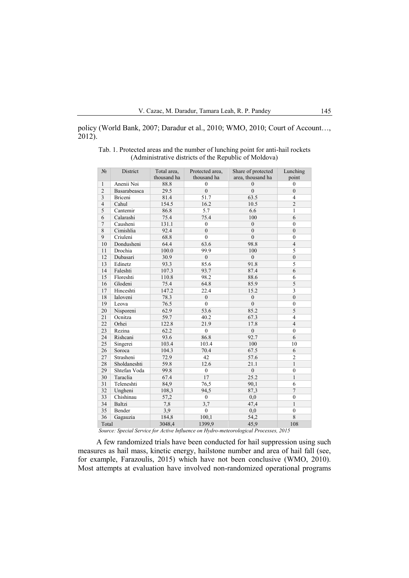policy (World Bank, 2007; Daradur et al., 2010; WMO, 2010; Court of Account…, 2012).

| $N_2$          | District     | Total area, | Protected area,  | Share of protected | Lunching                |
|----------------|--------------|-------------|------------------|--------------------|-------------------------|
|                |              | thousand ha | thousand ha      | area, thousand ha  | point                   |
| $\mathbf{1}$   | Anenii Noi   | 88.8        | $\mathbf{0}$     | $\theta$           | $\mathbf{0}$            |
| $\overline{2}$ | Basarabeasca | 29.5        | $\overline{0}$   | $\mathbf{0}$       | $\mathbf{0}$            |
| $\overline{3}$ | Briceni      | 81.4        | 51.7             | 63.5               | $\overline{4}$          |
| $\overline{4}$ | Cahul        | 154.5       | 16.2             | 10.5               | $\overline{2}$          |
| 5              | Cantemir     | 86.8        | 5.7              | 6.6                | $\mathbf{1}$            |
| 6              | Calarashi    | 75.4        | 75.4             | 100                | 6                       |
| $\overline{7}$ | Causheni     | 131.1       | $\boldsymbol{0}$ | $\boldsymbol{0}$   | $\boldsymbol{0}$        |
| 8              | Cimishlia    | 92.4        | $\mathbf{0}$     | $\mathbf{0}$       | $\boldsymbol{0}$        |
| 9              | Criuleni     | 68.8        | $\theta$         | $\theta$           | $\boldsymbol{0}$        |
| 10             | Dondusheni   | 64.4        | 63.6             | 98.8               | $\overline{4}$          |
| 11             | Drochia      | 100.0       | 99.9             | 100                | 5                       |
| 12             | Dubasari     | 30.9        | $\boldsymbol{0}$ | $\boldsymbol{0}$   | $\boldsymbol{0}$        |
| 13             | Edinetz      | 93.3        | 85.6             | 91.8               | 5                       |
| 14             | Faleshti     | 107.3       | 93.7             | 87.4               | 6                       |
| 15             | Floreshti    | 110.8       | 98.2             | 88.6               | 6                       |
| 16             | Glodeni      | 75.4        | 64.8             | 85.9               | $\overline{5}$          |
| 17             | Hinceshti    | 147.2       | 22.4             | 15.2               | $\overline{\mathbf{3}}$ |
| 18             | Ialoveni     | 78.3        | $\overline{0}$   | $\overline{0}$     | $\boldsymbol{0}$        |
| 19             | Leova        | 76.5        | $\theta$         | $\theta$           | $\mathbf{0}$            |
| 20             | Nisporeni    | 62.9        | 53.6             | 85.2               | 5                       |
| 21             | Ocnitza      | 59.7        | 40.2             | 67.3               | $\overline{4}$          |
| 22             | Orhei        | 122.8       | 21.9             | 17.8               | $\overline{4}$          |
| 23             | Rezina       | 62.2        | $\boldsymbol{0}$ | $\boldsymbol{0}$   | $\mathbf{0}$            |
| 24             | Rishcani     | 93.6        | 86.8             | 92.7               | 6                       |
| 25             | Singerei     | 103.4       | 103.4            | 100                | 10                      |
| 26             | Soroca       | 104.3       | 70.4             | 67.5               | 6                       |
| 27             | Strasheni    | 72.9        | 42               | 57.6               | $\overline{2}$          |
| 28             | Sholdaneshti | 59.8        | 12.6             | 21.1               | $\mathbf{1}$            |
| 29             | Shtefan Voda | 99.8        | $\boldsymbol{0}$ | $\boldsymbol{0}$   | $\boldsymbol{0}$        |
| 30             | Taraclia     | 67.4        | 17               | 25.2               | $\mathbf{1}$            |
| 31             | Teleneshti   | 84,9        | 76,5             | 90,1               | 6                       |
| 32             | Ungheni      | 108,3       | 94,5             | 87,3               | $\overline{7}$          |
| 33             | Chishinau    | 57,2        | $\mathbf{0}$     | 0,0                | $\mathbf{0}$            |
| 34             | Baltzi       | 7,8         | 3,7              | 47,4               | $\mathbf{1}$            |
| 35             | Bender       | 3,9         | $\boldsymbol{0}$ | 0,0                | $\boldsymbol{0}$        |
| 36             | Gagauzia     | 184,8       | 100,1            | 54,2               | 8                       |
| Total          |              | 3048,4      | 1399,9           | 45,9               | 108                     |

| Tab. 1. Protected areas and the number of lunching point for anti-hail rockets |  |
|--------------------------------------------------------------------------------|--|
| (Administrative districts of the Republic of Moldova)                          |  |

*Source: Special Service for Active Influence on Hydro-meteorological Processes, 2015*

A few randomized trials have been conducted for hail suppression using such measures as hail mass, kinetic energy, hailstone number and area of hail fall (see, for example, Farazoulis, 2015) which have not been conclusive (WMO, 2010). Most attempts at evaluation have involved non-randomized operational programs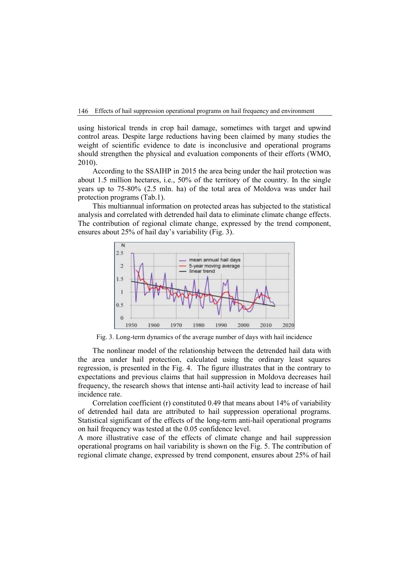using historical trends in crop hail damage, sometimes with target and upwind control areas. Despite large reductions having been claimed by many studies the weight of scientific evidence to date is inconclusive and operational programs should strengthen the physical and evaluation components of their efforts (WMO, 2010).

According to the SSAIHP in 2015 the area being under the hail protection was about 1.5 million hectares, i.e., 50% of the territory of the country. In the single years up to 75-80% (2.5 mln. ha) of the total area of Moldova was under hail protection programs (Tab.1).

This multiannual information on protected areas has subjected to the statistical analysis and correlated with detrended hail data to eliminate climate change effects. The contribution of regional climate change, expressed by the trend component, ensures about 25% of hail day's variability (Fig. 3).



Fig. 3. Long-term dynamics of the average number of days with hail incidence

The nonlinear model of the relationship between the detrended hail data with the area under hail protection, calculated using the ordinary least squares regression, is presented in the Fig. 4. The figure illustrates that in the contrary to expectations and previous claims that hail suppression in Moldova decreases hail frequency, the research shows that intense anti-hail activity lead to increase of hail incidence rate.

Correlation coefficient (r) constituted 0.49 that means about 14% of variability of detrended hail data are attributed to hail suppression operational programs. Statistical significant of the effects of the long-term anti-hail operational programs on hail frequency was tested at the 0.05 confidence level.

A more illustrative case of the effects of climate change and hail suppression operational programs on hail variability is shown on the Fig. 5. The contribution of regional climate change, expressed by trend component, ensures about 25% of hail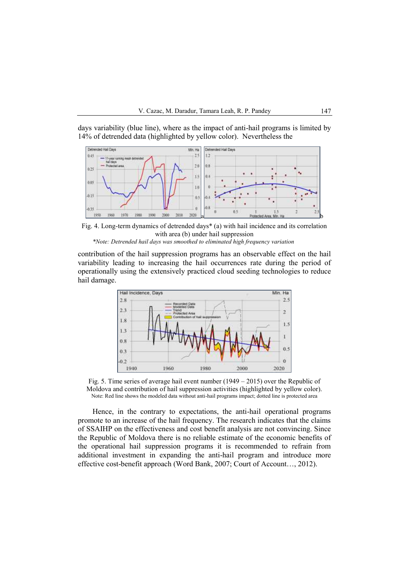days variability (blue line), where as the impact of anti-hail programs is limited by 14% of detrended data (highlighted by yellow color). Nevertheless the



Fig. 4. Long-term dynamics of detrended days\* (a) with hail incidence and its correlation with area (b) under hail suppression *\*Note: Detrended hail days was smoothed to eliminated high frequency variation*

contribution of the hail suppression programs has an observable effect on the hail variability leading to increasing the hail occurrences rate during the period of operationally using the extensively practiced cloud seeding technologies to reduce hail damage.



Fig. 5. Time series of average hail event number  $(1949 - 2015)$  over the Republic of Moldova and contribution of hail suppression activities (highlighted by yellow color). Note: Red line shows the modeled data without anti-hail programs impact; dotted line is protected area

Hence, in the contrary to expectations, the anti-hail operational programs promote to an increase of the hail frequency. The research indicates that the claims of SSAIHP on the effectiveness and cost benefit analysis are not convincing. Since the Republic of Moldova there is no reliable estimate of the economic benefits of the operational hail suppression programs it is recommended to refrain from additional investment in expanding the anti-hail program and introduce more effective cost-benefit approach (Word Bank, 2007; Court of Account…, 2012).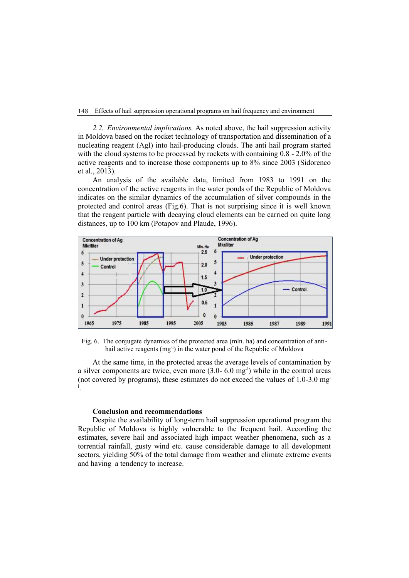#### 148 Effects of hail suppression operational programs on hail frequency and environment

*2.2. Environmental implications.* As noted above, the hail suppression activity in Moldova based on the rocket technology of transportation and dissemination of a nucleating reagent (AgI) into hail-producing clouds. The anti hail program started with the cloud systems to be processed by rockets with containing 0.8 - 2.0% of the active reagents and to increase those components up to 8% since 2003 (Sidorenco et al., 2013).

An analysis of the available data, limited from 1983 to 1991 on the concentration of the active reagents in the water ponds of the Republic of Moldova indicates on the similar dynamics of the accumulation of silver compounds in the protected and control areas (Fig.6). That is not surprising since it is well known that the reagent particle with decaying cloud elements can be carried on quite long distances, up to 100 km (Potapov and Plaude, 1996).



Fig. 6. The conjugate dynamics of the protected area (mln. ha) and concentration of antihail active reagents  $(mg^{-1})$  in the water pond of the Republic of Moldova

At the same time, in the protected areas the average levels of contamination by a silver components are twice, even more  $(3.0 - 6.0 \text{ mg}^{-1})$  while in the control areas (not covered by programs), these estimates do not exceed the values of 1.0-3.0 mgl .

## **Conclusion and recommendations**

Despite the availability of long-term hail suppression operational program the Republic of Moldova is highly vulnerable to the frequent hail. According the estimates, severe hail and associated high impact weather phenomena, such as a torrential rainfall, gusty wind etc. cause considerable damage to all development sectors, yielding 50% of the total damage from weather and climate extreme events and having a tendency to increase.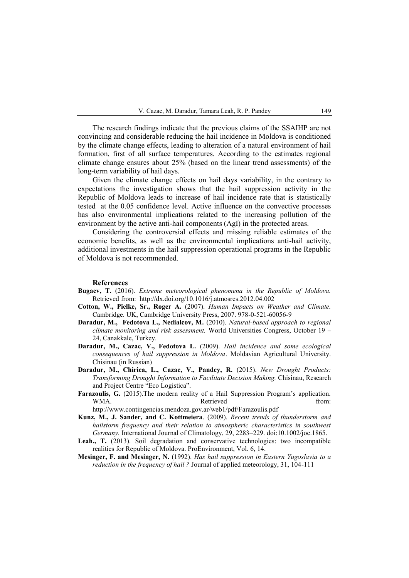The research findings indicate that the previous claims of the SSAIHP are not convincing and considerable reducing the hail incidence in Moldova is conditioned by the climate change effects, leading to alteration of a natural environment of hail formation, first of all surface temperatures. According to the estimates regional climate change ensures about 25% (based on the linear trend assessments) of the long-term variability of hail days.

Given the climate change effects on hail days variability, in the contrary to expectations the investigation shows that the hail suppression activity in the Republic of Moldova leads to increase of hail incidence rate that is statistically tested at the 0.05 confidence level. Active influence on the convective processes has also environmental implications related to the increasing pollution of the environment by the active anti-hail components (AgI) in the protected areas.

Considering the controversial effects and missing reliable estimates of the economic benefits, as well as the environmental implications anti-hail activity, additional investments in the hail suppression operational programs in the Republic of Moldova is not recommended.

#### **References**

- **Bugaev, T.** (2016). *Extreme meteorological phenomena in the Republic of Moldova.* Retrieved from: http://dx.doi.org/10.1016/j.atmosres.2012.04.002
- **Cotton, W., Pielke, Sr., Roger A.** (2007). *Human Impacts on Weather and Climate.* Cambridge. UK, Cambridge University Press, 2007. 978-0-521-60056-9
- **Daradur, M., Fedotova L., Nedialcov, M.** (2010). *Natural-based approach to regional climate monitoring and risk assessment.* World Universities Congress, October 19 – 24, Canakkale, Turkey.
- **Daradur, M., Cazac, V., Fedotova L.** (2009). *Hail incidence and some ecological consequences of hail suppression in Moldova*. Moldavian Agricultural University. Chisinau (in Russian)
- **Daradur, M., Chirica, L., Cazac, V., Pandey, R.** (2015). *New Drought Products: Transforming Drought Information to Facilitate Decision Making.* Chisinau, Research and Project Centre "Eco Logistica".
- **Farazoulis, G.** (2015).The modern reality of a Hail Suppression Program's application. WMA. Retrieved from:

http://www.contingencias.mendoza.gov.ar/web1/pdf/Farazoulis.pdf

- **Kunz, M., J. Sander, and C. Kottmeiera**. (2009). *Recent trends of thunderstorm and hailstorm frequency and their relation to atmospheric characteristics in southwest Germany.* International Journal of Climatology, 29, 2283–229. doi:10.1002/joc.1865.
- **Leah., T.** (2013). Soil degradation and conservative technologies: two incompatible realities for Republic of Moldova. ProEnvironment, Vol. 6, 14.
- **Mesinger, F. and Mesinger, N.** (1992). *Has hail suppression in Eastern Yugoslavia to a reduction in the frequency of hail ?* Journal of applied meteorology, 31, 104-111